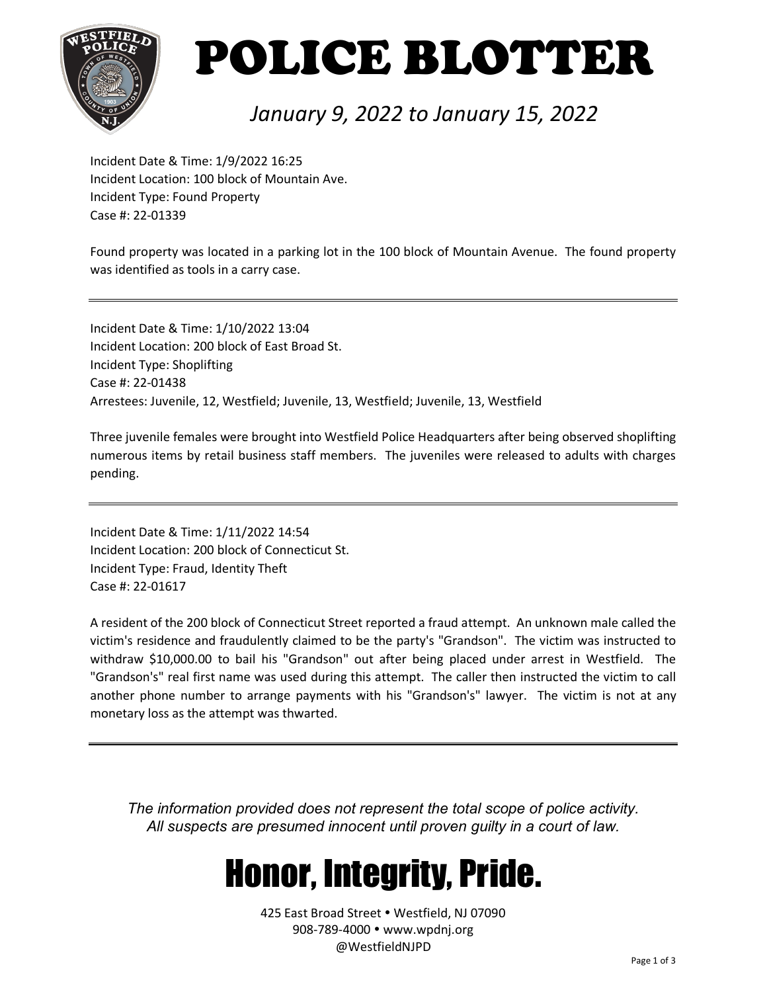

# POLICE BLOTTER

### *January 9, 2022 to January 15, 2022*

Incident Date & Time: 1/9/2022 16:25 Incident Location: 100 block of Mountain Ave. Incident Type: Found Property Case #: 22-01339

Found property was located in a parking lot in the 100 block of Mountain Avenue. The found property was identified as tools in a carry case.

Incident Date & Time: 1/10/2022 13:04 Incident Location: 200 block of East Broad St. Incident Type: Shoplifting Case #: 22-01438 Arrestees: Juvenile, 12, Westfield; Juvenile, 13, Westfield; Juvenile, 13, Westfield

Three juvenile females were brought into Westfield Police Headquarters after being observed shoplifting numerous items by retail business staff members. The juveniles were released to adults with charges pending.

Incident Date & Time: 1/11/2022 14:54 Incident Location: 200 block of Connecticut St. Incident Type: Fraud, Identity Theft Case #: 22-01617

A resident of the 200 block of Connecticut Street reported a fraud attempt. An unknown male called the victim's residence and fraudulently claimed to be the party's "Grandson". The victim was instructed to withdraw \$10,000.00 to bail his "Grandson" out after being placed under arrest in Westfield. The "Grandson's" real first name was used during this attempt. The caller then instructed the victim to call another phone number to arrange payments with his "Grandson's" lawyer. The victim is not at any monetary loss as the attempt was thwarted.

*The information provided does not represent the total scope of police activity. All suspects are presumed innocent until proven guilty in a court of law.*

## Honor, Integrity, Pride.

425 East Broad Street . Westfield, NJ 07090 908-789-4000 www.wpdnj.org @WestfieldNJPD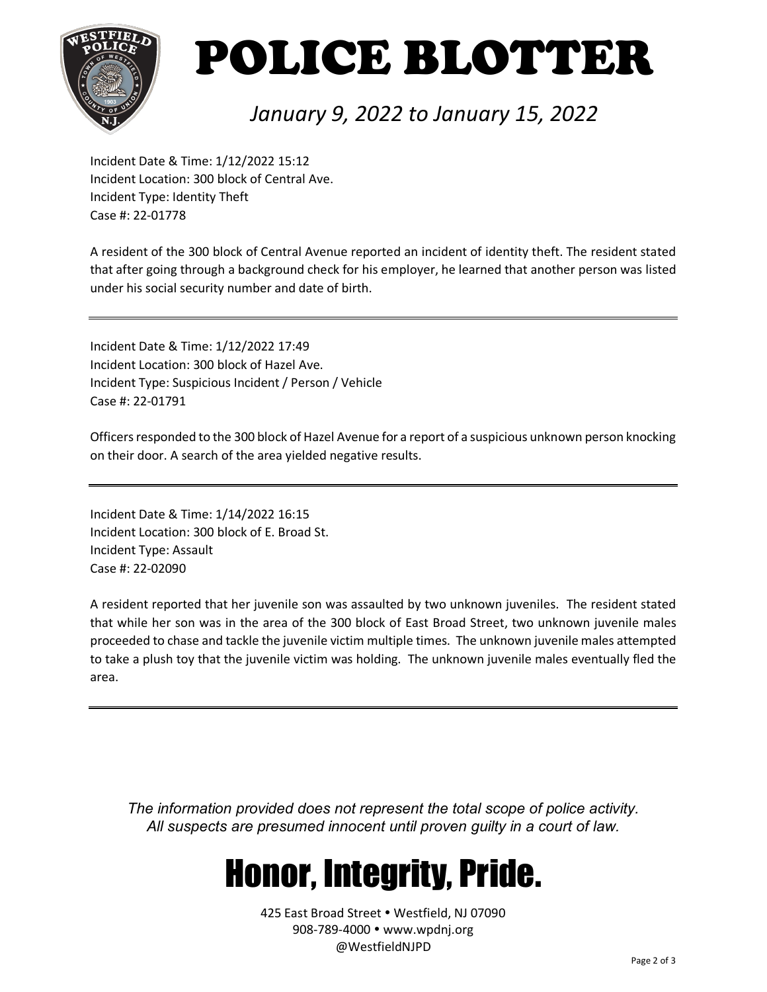

# POLICE BLOTTER

### *January 9, 2022 to January 15, 2022*

Incident Date & Time: 1/12/2022 15:12 Incident Location: 300 block of Central Ave. Incident Type: Identity Theft Case #: 22-01778

A resident of the 300 block of Central Avenue reported an incident of identity theft. The resident stated that after going through a background check for his employer, he learned that another person was listed under his social security number and date of birth.

Incident Date & Time: 1/12/2022 17:49 Incident Location: 300 block of Hazel Ave. Incident Type: Suspicious Incident / Person / Vehicle Case #: 22-01791

Officers responded to the 300 block of Hazel Avenue for a report of a suspicious unknown person knocking on their door. A search of the area yielded negative results.

Incident Date & Time: 1/14/2022 16:15 Incident Location: 300 block of E. Broad St. Incident Type: Assault Case #: 22-02090

A resident reported that her juvenile son was assaulted by two unknown juveniles. The resident stated that while her son was in the area of the 300 block of East Broad Street, two unknown juvenile males proceeded to chase and tackle the juvenile victim multiple times. The unknown juvenile males attempted to take a plush toy that the juvenile victim was holding. The unknown juvenile males eventually fled the area.

*The information provided does not represent the total scope of police activity. All suspects are presumed innocent until proven guilty in a court of law.*

## Honor, Integrity, Pride.

425 East Broad Street . Westfield, NJ 07090 908-789-4000 www.wpdnj.org @WestfieldNJPD